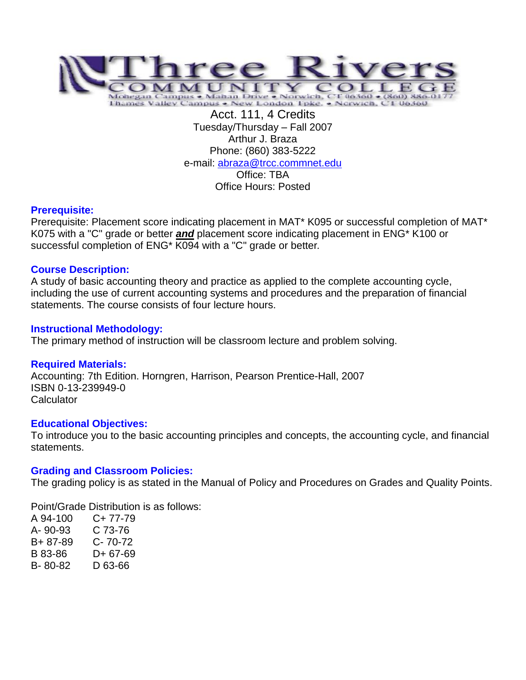

Acct. 111, 4 Credits Tuesday/Thursday – Fall 2007 Arthur J. Braza Phone: (860) 383-5222 e-mail: [abraza@trcc.commnet.edu](mailto:abraza@trcc.commnet.edu) Office: TBA Office Hours: Posted

## **Prerequisite:**

Prerequisite: Placement score indicating placement in MAT\* K095 or successful completion of MAT\* K075 with a "C" grade or better *and* placement score indicating placement in ENG\* K100 or successful completion of ENG\* K094 with a "C" grade or better*.*

## **Course Description:**

A study of basic accounting theory and practice as applied to the complete accounting cycle, including the use of current accounting systems and procedures and the preparation of financial statements. The course consists of four lecture hours.

## **Instructional Methodology:**

The primary method of instruction will be classroom lecture and problem solving.

## **Required Materials:**

Accounting: 7th Edition. Horngren, Harrison, Pearson Prentice-Hall, 2007 ISBN 0-13-239949-0 Calculator

## **Educational Objectives:**

To introduce you to the basic accounting principles and concepts, the accounting cycle, and financial statements.

## **Grading and Classroom Policies:**

The grading policy is as stated in the Manual of Policy and Procedures on Grades and Quality Points.

Point/Grade Distribution is as follows:

A 94-100 C+ 77-79 A- 90-93 C 73-76 B+ 87-89 C- 70-72 B 83-86 D+ 67-69 B- 80-82 D 63-66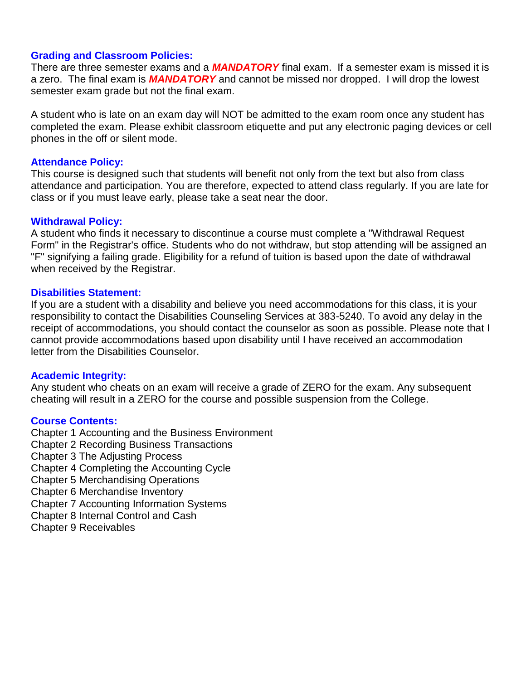## **Grading and Classroom Policies:**

There are three semester exams and a *MANDATORY* final exam. If a semester exam is missed it is a zero. The final exam is *MANDATORY* and cannot be missed nor dropped. I will drop the lowest semester exam grade but not the final exam.

A student who is late on an exam day will NOT be admitted to the exam room once any student has completed the exam. Please exhibit classroom etiquette and put any electronic paging devices or cell phones in the off or silent mode.

## **Attendance Policy:**

This course is designed such that students will benefit not only from the text but also from class attendance and participation. You are therefore, expected to attend class regularly. If you are late for class or if you must leave early, please take a seat near the door.

# **Withdrawal Policy:**

A student who finds it necessary to discontinue a course must complete a "Withdrawal Request Form" in the Registrar's office. Students who do not withdraw, but stop attending will be assigned an "F" signifying a failing grade. Eligibility for a refund of tuition is based upon the date of withdrawal when received by the Registrar.

# **Disabilities Statement:**

If you are a student with a disability and believe you need accommodations for this class, it is your responsibility to contact the Disabilities Counseling Services at 383-5240. To avoid any delay in the receipt of accommodations, you should contact the counselor as soon as possible. Please note that I cannot provide accommodations based upon disability until I have received an accommodation letter from the Disabilities Counselor.

## **Academic Integrity:**

Any student who cheats on an exam will receive a grade of ZERO for the exam. Any subsequent cheating will result in a ZERO for the course and possible suspension from the College.

# **Course Contents:**

Chapter 1 Accounting and the Business Environment

- Chapter 2 Recording Business Transactions
- Chapter 3 The Adjusting Process
- Chapter 4 Completing the Accounting Cycle
- Chapter 5 Merchandising Operations
- Chapter 6 Merchandise Inventory
- Chapter 7 Accounting Information Systems
- Chapter 8 Internal Control and Cash
- Chapter 9 Receivables